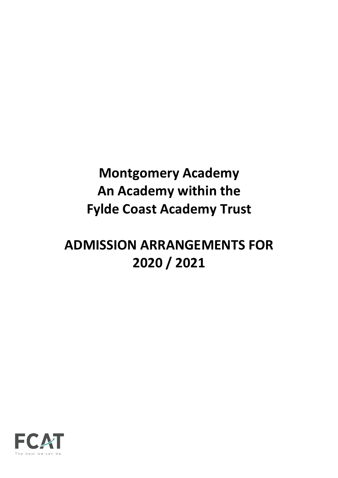# **Montgomery Academy An Academy within the Fylde Coast Academy Trust**

# **ADMISSION ARRANGEMENTS FOR 2020 / 2021**

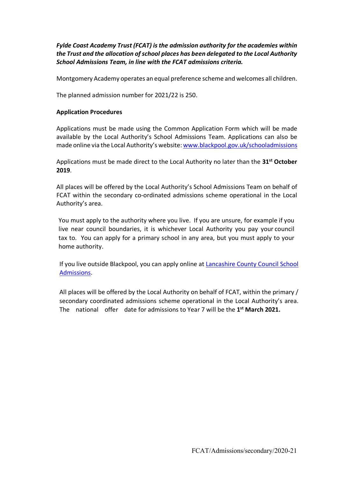*Fylde Coast Academy Trust (FCAT) is the admission authority for the academies within the Trust and the allocation of school places has been delegated to the Local Authority School Admissions Team, in line with the FCAT admissions criteria.*

Montgomery Academy operates an equal preference scheme and welcomes all children.

The planned admission number for 2021/22 is 250.

#### **Application Procedures**

Applications must be made using the Common Application Form which will be made available by the Local Authority's School Admissions Team. Applications can also be made online via the Local Authority's website: www.blackpool.gov.uk/schooladmissions

Applications must be made direct to the Local Authority no later than the **31st October 2019**.

All places will be offered by the Local Authority's School Admissions Team on behalf of FCAT within the secondary co-ordinated admissions scheme operational in the Local Authority's area.

You must apply to the authority where you live. If you are unsure, for example if you live near council boundaries, it is whichever Local Authority you pay your council tax to. You can apply for a primary school in any area, but you must apply to your home authority.

If you live outside Blackpool, you can apply online at Lancashire County Council School Admissions.

All places will be offered by the Local Authority on behalf of FCAT, within the primary / secondary coordinated admissions scheme operational in the Local Authority's area. The national offer date for admissions to Year 7 will be the **1st March 2021.**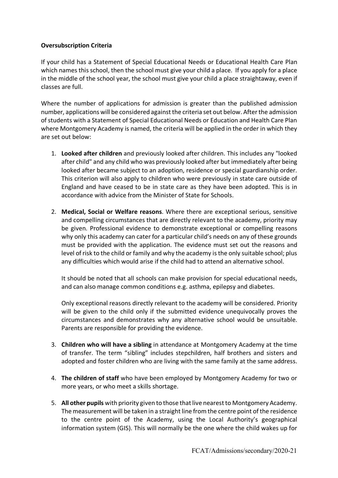# **Oversubscription Criteria**

If your child has a Statement of Special Educational Needs or Educational Health Care Plan which names this school, then the school must give your child a place. If you apply for a place in the middle of the school year, the school must give your child a place straightaway, even if classes are full.

Where the number of applications for admission is greater than the published admission number, applications will be considered against the criteria set out below. After the admission of students with a Statement of Special Educational Needs or Education and Health Care Plan where Montgomery Academy is named, the criteria will be applied in the order in which they are set out below:

- 1. **Looked after children** and previously looked after children. This includes any "looked after child" and any child who was previously looked after but immediately after being looked after became subject to an adoption, residence or special guardianship order. This criterion will also apply to children who were previously in state care outside of England and have ceased to be in state care as they have been adopted. This is in accordance with advice from the Minister of State for Schools.
- 2. **Medical, Social or Welfare reasons**. Where there are exceptional serious, sensitive and compelling circumstances that are directly relevant to the academy, priority may be given. Professional evidence to demonstrate exceptional or compelling reasons why only this academy can cater for a particular child's needs on any of these grounds must be provided with the application. The evidence must set out the reasons and level of risk to the child or family and why the academy is the only suitable school; plus any difficulties which would arise if the child had to attend an alternative school.

It should be noted that all schools can make provision for special educational needs, and can also manage common conditions e.g. asthma, epilepsy and diabetes.

Only exceptional reasons directly relevant to the academy will be considered. Priority will be given to the child only if the submitted evidence unequivocally proves the circumstances and demonstrates why any alternative school would be unsuitable. Parents are responsible for providing the evidence.

- 3. **Children who will have a sibling** in attendance at Montgomery Academy at the time of transfer. The term "sibling" includes stepchildren, half brothers and sisters and adopted and foster children who are living with the same family at the same address.
- 4. **The children of staff** who have been employed by Montgomery Academy for two or more years, or who meet a skills shortage.
- 5. **All other pupils** with priority given to those that live nearest to Montgomery Academy. The measurement will be taken in a straight line from the centre point of the residence to the centre point of the Academy, using the Local Authority's geographical information system (GIS). This will normally be the one where the child wakes up for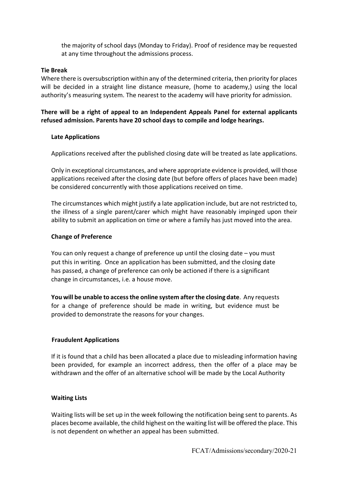the majority of school days (Monday to Friday). Proof of residence may be requested at any time throughout the admissions process.

#### **Tie Break**

Where there is oversubscription within any of the determined criteria, then priority for places will be decided in a straight line distance measure, (home to academy,) using the local authority's measuring system. The nearest to the academy will have priority for admission.

**There will be a right of appeal to an Independent Appeals Panel for external applicants refused admission. Parents have 20 school days to compile and lodge hearings.**

### **Late Applications**

Applications received after the published closing date will be treated as late applications.

Only in exceptional circumstances, and where appropriate evidence is provided, will those applications received after the closing date (but before offers of places have been made) be considered concurrently with those applications received on time.

The circumstances which might justify a late application include, but are not restricted to, the illness of a single parent/carer which might have reasonably impinged upon their ability to submit an application on time or where a family has just moved into the area.

### **Change of Preference**

You can only request a change of preference up until the closing date – you must put this in writing. Once an application has been submitted, and the closing date has passed, a change of preference can only be actioned if there is a significant change in circumstances, i.e. a house move.

**You will be unable to access the online system after the closing date**. Any requests for a change of preference should be made in writing, but evidence must be provided to demonstrate the reasons for your changes.

#### **Fraudulent Applications**

If it is found that a child has been allocated a place due to misleading information having been provided, for example an incorrect address, then the offer of a place may be withdrawn and the offer of an alternative school will be made by the Local Authority

#### **Waiting Lists**

Waiting lists will be set up in the week following the notification being sent to parents. As places become available, the child highest on the waiting list will be offered the place. This is not dependent on whether an appeal has been submitted.